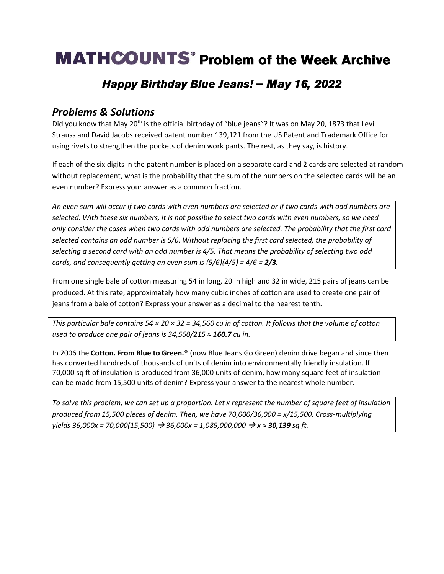# **MATHCOUNTS**<sup>®</sup> Problem of the Week Archive

### Happy Birthday Blue Jeans! - May 16, 2022

#### *Problems & Solutions*

Did you know that May 20<sup>th</sup> is the official birthday of "blue jeans"? It was on May 20, 1873 that Levi Strauss and David Jacobs received patent number 139,121 from the US Patent and Trademark Office for using rivets to strengthen the pockets of denim work pants. The rest, as they say, is history.

If each of the six digits in the patent number is placed on a separate card and 2 cards are selected at random without replacement, what is the probability that the sum of the numbers on the selected cards will be an even number? Express your answer as a common fraction.

*An even sum will occur if two cards with even numbers are selected or if two cards with odd numbers are selected. With these six numbers, it is not possible to select two cards with even numbers, so we need only consider the cases when two cards with odd numbers are selected. The probability that the first card selected contains an odd number is 5/6. Without replacing the first card selected, the probability of selecting a second card with an odd number is 4/5. That means the probability of selecting two odd cards, and consequently getting an even sum is*  $(5/6)(4/5) = 4/6 = 2/3$ *.* 

From one single bale of cotton measuring 54 in long, 20 in high and 32 in wide, 215 pairs of jeans can be produced. At this rate, approximately how many cubic inches of cotton are used to create one pair of jeans from a bale of cotton? Express your answer as a decimal to the nearest tenth.

*This particular bale contains 54 × 20 × 32 = 34,560 cu in of cotton. It follows that the volume of cotton used to produce one pair of jeans is 34,560/215 ≈ 160.7 cu in.*

In 2006 the **Cotton. From Blue to Green.**® (now Blue Jeans Go Green) denim drive began and since then has converted hundreds of thousands of units of denim into environmentally friendly insulation. If 70,000 sq ft of insulation is produced from 36,000 units of denim, how many square feet of insulation can be made from 15,500 units of denim? Express your answer to the nearest whole number.

*To solve this problem, we can set up a proportion. Let x represent the number of square feet of insulation produced from 15,500 pieces of denim. Then, we have 70,000/36,000 = x/15,500. Cross-multiplying yields 36,000x = 70,000(15,500)* → *36,000x = 1,085,000,000* → *x ≈ 30,139 sq ft.*